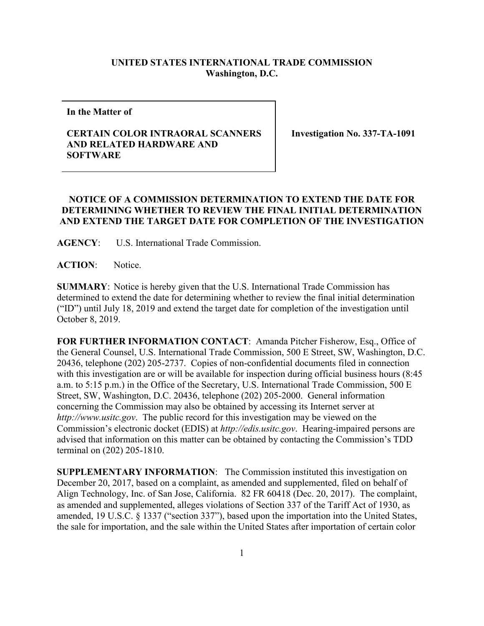## **UNITED STATES INTERNATIONAL TRADE COMMISSION Washington, D.C.**

**In the Matter of**

## **CERTAIN COLOR INTRAORAL SCANNERS AND RELATED HARDWARE AND SOFTWARE**

**Investigation No. 337-TA-1091**

## **NOTICE OF A COMMISSION DETERMINATION TO EXTEND THE DATE FOR DETERMINING WHETHER TO REVIEW THE FINAL INITIAL DETERMINATION AND EXTEND THE TARGET DATE FOR COMPLETION OF THE INVESTIGATION**

**AGENCY**: U.S. International Trade Commission.

**ACTION**: Notice.

**SUMMARY**: Notice is hereby given that the U.S. International Trade Commission has determined to extend the date for determining whether to review the final initial determination ("ID") until July 18, 2019 and extend the target date for completion of the investigation until October 8, 2019.

**FOR FURTHER INFORMATION CONTACT**: Amanda Pitcher Fisherow, Esq., Office of the General Counsel, U.S. International Trade Commission, 500 E Street, SW, Washington, D.C. 20436, telephone (202) 205-2737. Copies of non-confidential documents filed in connection with this investigation are or will be available for inspection during official business hours (8:45 a.m. to 5:15 p.m.) in the Office of the Secretary, U.S. International Trade Commission, 500 E Street, SW, Washington, D.C. 20436, telephone (202) 205-2000. General information concerning the Commission may also be obtained by accessing its Internet server at *http://www.usitc.gov*. The public record for this investigation may be viewed on the Commission's electronic docket (EDIS) at *http://edis.usitc.gov*. Hearing-impaired persons are advised that information on this matter can be obtained by contacting the Commission's TDD terminal on (202) 205-1810.

**SUPPLEMENTARY INFORMATION**: The Commission instituted this investigation on December 20, 2017, based on a complaint, as amended and supplemented, filed on behalf of Align Technology, Inc. of San Jose, California. 82 FR 60418 (Dec. 20, 2017). The complaint, as amended and supplemented, alleges violations of Section 337 of the Tariff Act of 1930, as amended, 19 U.S.C. § 1337 ("section 337"), based upon the importation into the United States, the sale for importation, and the sale within the United States after importation of certain color